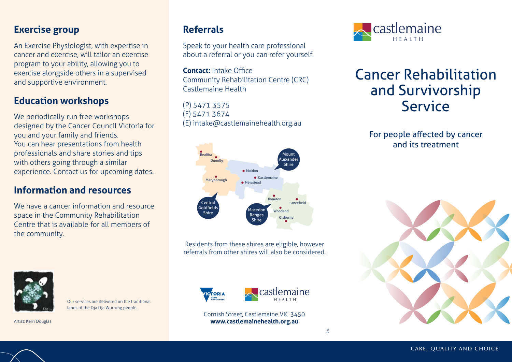#### **Exercise group**

An Exercise Physiologist, with expertise in cancer and exercise, will tailor an exercise program to your ability, allowing you to exercise alongside others in a supervised and supportive environment.

## **Education workshops**

We periodically run free workshops designed by the Cancer Council Victoria for you and your family and friends. You can hear presentations from health professionals and share stories and tips with others going through a similar experience. Contact us for upcoming dates.

#### **Information and resources**

We have a cancer information and resource space in the Community Rehabilitation Centre that is available for all members of the community.



Our services are delivered on the traditional lands of the Dia Dia Wurrung people.

Artist: Kerri Douglas

### **Referrals**

Speak to your health care professional about a referral or you can refer yourself.

**Contact:** Intake Office Community Rehabilitation Centre (CRC) Castlemaine Health

(P) 5471 3575 (F) 5471 3674 (E) intake@castlemainehealth.org.au



Residents from these shires are eligible, however referrals from other shires will also be considered.





Cornish Street, Castlemaine VIC 3450 **www.castlemainehealth.org.au**



# Cancer Rehabilitation and Survivorship Service

For people affected by cancer and its treatment